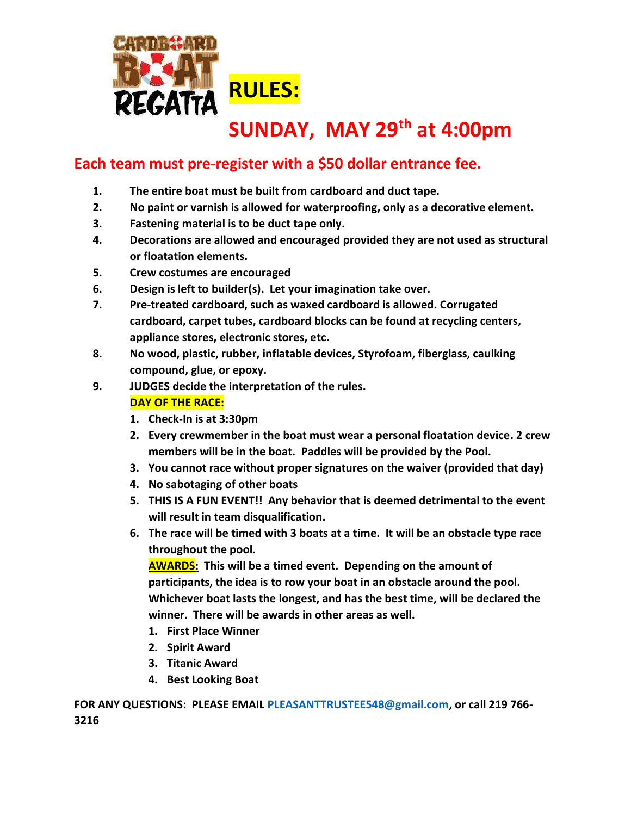

## **SUNDAY, MAY 29th at 4:00pm**

## **Each team must pre-register with a \$50 dollar entrance fee.**

- **1. The entire boat must be built from cardboard and duct tape.**
- **2. No paint or varnish is allowed for waterproofing, only as a decorative element.**
- **3. Fastening material is to be duct tape only.**
- **4. Decorations are allowed and encouraged provided they are not used as structural or floatation elements.**
- **5. Crew costumes are encouraged**
- **6. Design is left to builder(s). Let your imagination take over.**
- **7. Pre-treated cardboard, such as waxed cardboard is allowed. Corrugated cardboard, carpet tubes, cardboard blocks can be found at recycling centers, appliance stores, electronic stores, etc.**
- **8. No wood, plastic, rubber, inflatable devices, Styrofoam, fiberglass, caulking compound, glue, or epoxy.**
- **9. JUDGES decide the interpretation of the rules.**

## **DAY OF THE RACE:**

- **1. Check-In is at 3:30pm**
- **2. Every crewmember in the boat must wear a personal floatation device. 2 crew members will be in the boat. Paddles will be provided by the Pool.**
- **3. You cannot race without proper signatures on the waiver (provided that day)**
- **4. No sabotaging of other boats**
- **5. THIS IS A FUN EVENT!! Any behavior that is deemed detrimental to the event will result in team disqualification.**
- **6. The race will be timed with 3 boats at a time. It will be an obstacle type race throughout the pool.**

**AWARDS: This will be a timed event. Depending on the amount of participants, the idea is to row your boat in an obstacle around the pool. Whichever boat lasts the longest, and has the best time, will be declared the winner. There will be awards in other areas as well.**

- **1. First Place Winner**
- **2. Spirit Award**
- **3. Titanic Award**
- **4. Best Looking Boat**

**FOR ANY QUESTIONS: PLEASE EMAIL [PLEASANTTRUSTEE548@gmail.com,](mailto:PLEASANTTRUSTEE548@gmail.com) or call 219 766- 3216**